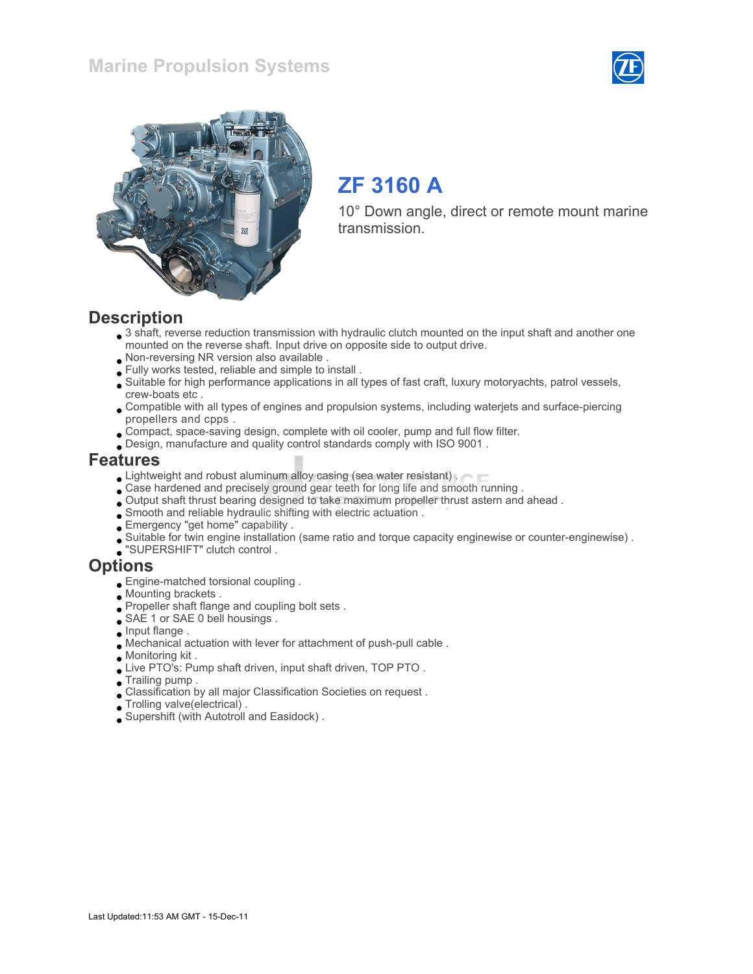



# ZF 3160 A

10° Down angle, direct or remote mount marine transmission.

#### **Description**

- 3 shaft, reverse reduction transmission with hydraulic clutch mounted on the input shaft and another one mounted on the reverse shaft. Input drive on opposite side to output drive.
- Non-reversing NR version also available .
- Fully works tested, reliable and simple to install .
- Suitable for high performance applications in all types of fast craft, luxury motoryachts, patrol vessels, crew-boats etc .
- Compatible with all types of engines and propulsion systems, including waterjets and surface-piercing propellers and cpps .
- Compact, space-saving design, complete with oil cooler, pump and full flow filter.
- Design, manufacture and quality control standards comply with ISO 9001 .

#### Features

- **Lightweight and robust aluminum alloy casing (sea water resistant).**
- Case hardened and precisely ground gear teeth for long life and smooth running .
- Output shaft thrust bearing designed to take maximum propeller thrust astern and ahead .
- Smooth and reliable hydraulic shifting with electric actuation .
- Emergency "get home" capability .
- Suitable for twin engine installation (same ratio and torque capacity enginewise or counter-enginewise) .
- "SUPERSHIFT" clutch control .

#### **Options**

- Engine-matched torsional coupling .
- Mounting brackets .
- Propeller shaft flange and coupling bolt sets .
- SAE 1 or SAE 0 bell housings.
- $\Box$  Input flange .
- Mechanical actuation with lever for attachment of push-pull cable .
- Monitoring kit .
- Live PTO's: Pump shaft driven, input shaft driven, TOP PTO .
- Trailing pump .
- Classification by all major Classification Societies on request .
- Trolling valve(electrical) .
- Supershift (with Autotroll and Easidock) .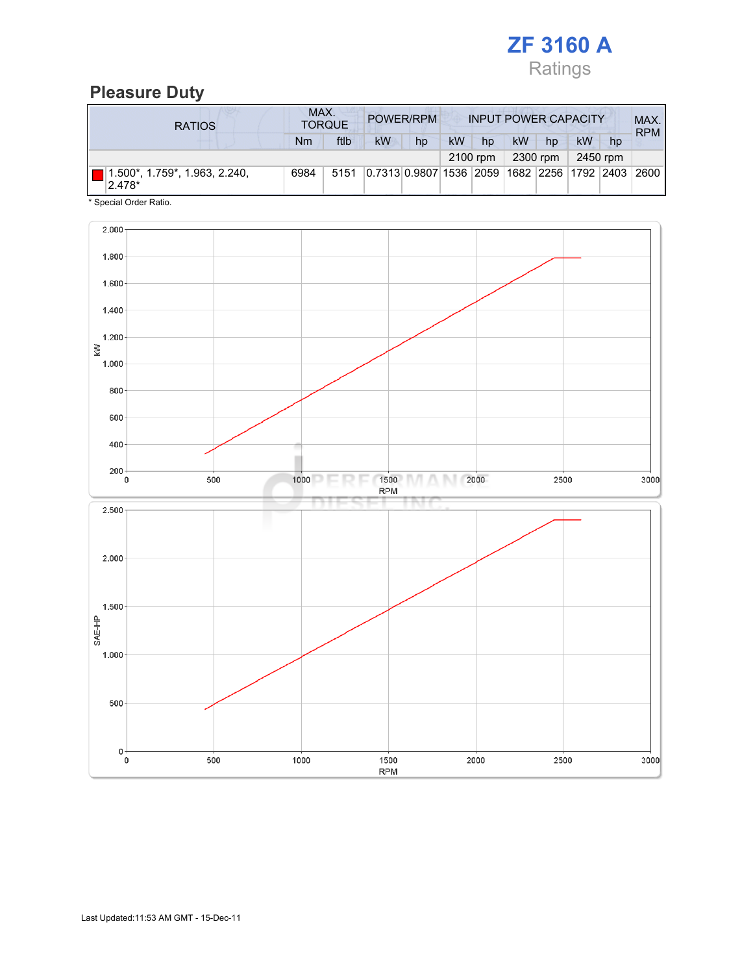

## Pleasure Duty

| <b>RATIOS</b>                           | MAX.<br>POWER/RPM<br><b>INPUT POWER CAPACITY</b><br><b>TORQUE</b> |          |                                                         |          |    |          |    |    | MAX.<br><b>RPM</b> |    |  |
|-----------------------------------------|-------------------------------------------------------------------|----------|---------------------------------------------------------|----------|----|----------|----|----|--------------------|----|--|
|                                         | Nm                                                                | ftlb     | <b>kW</b>                                               | hp       | kW | hp       | kW | hp | kW                 | hp |  |
|                                         |                                                                   | 2100 rpm |                                                         | 2300 rpm |    | 2450 rpm |    |    |                    |    |  |
| 1.500*, 1.759*, 1.963, 2.240,<br>2.478* | 6984                                                              | 5151     | 0.7313 0.9807 1536  2059  1682  2256  1792  2403   2600 |          |    |          |    |    |                    |    |  |

\* Special Order Ratio.

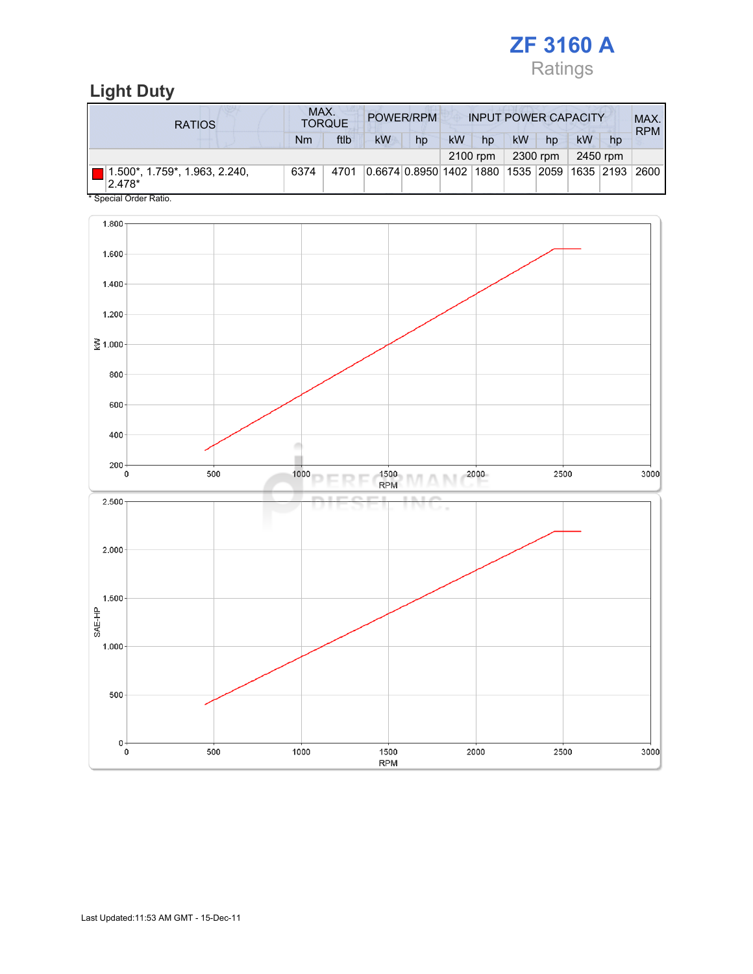

### Light Duty

| <b>RATIOS</b>                             | MAX.<br>POWER/RPM<br><b>INPUT POWER CAPACITY</b><br><b>TORQUE</b> |      |    |                                                         |           |    |    |    |    |    | MAX.<br><b>RPM</b> |
|-------------------------------------------|-------------------------------------------------------------------|------|----|---------------------------------------------------------|-----------|----|----|----|----|----|--------------------|
|                                           | Nm                                                                | ftlb | kW | hp                                                      | <b>kW</b> | hp | kW | hp | kW | hp |                    |
| 2450 rpm<br>2300 rpm<br>2100 rpm          |                                                                   |      |    |                                                         |           |    |    |    |    |    |                    |
| 1.500*, 1.759*, 1.963, 2.240,<br>$2.478*$ | 6374                                                              | 4701 |    | 0.6674 0.8950 1402  1880  1535  2059  1635  2193   2600 |           |    |    |    |    |    |                    |
| * Special Order Ratio.                    |                                                                   |      |    |                                                         |           |    |    |    |    |    |                    |

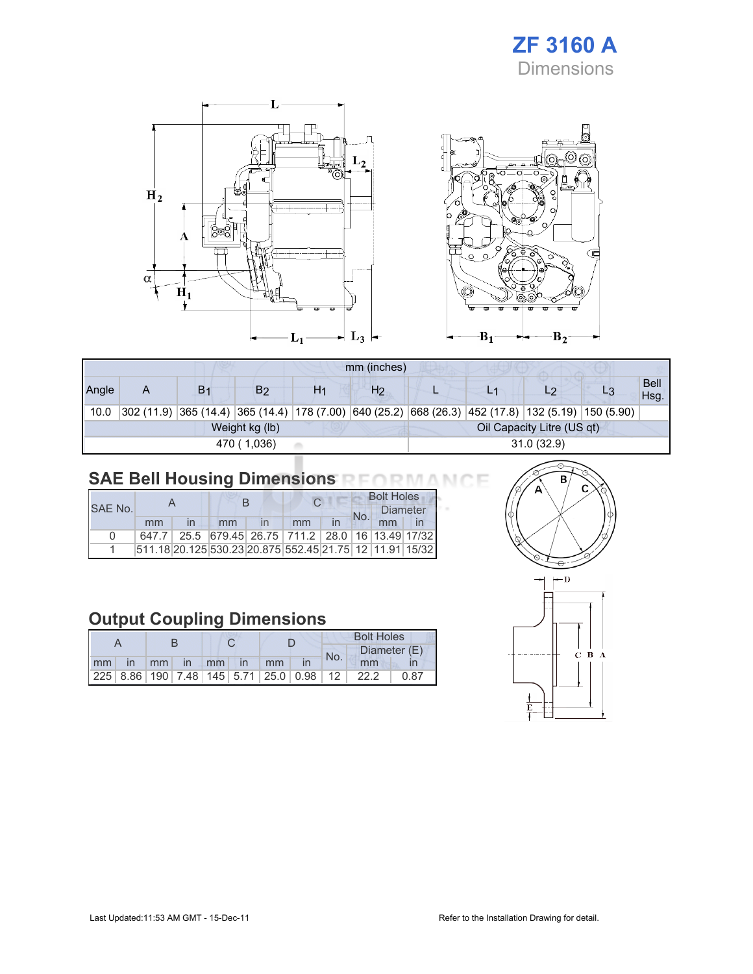### ZF 3160 A Dimensions



|       | mm (inches)                                  |                |                                                                                                    |    |                |            |  |    |  |                     |  |
|-------|----------------------------------------------|----------------|----------------------------------------------------------------------------------------------------|----|----------------|------------|--|----|--|---------------------|--|
| Angle | A                                            | B <sub>1</sub> | B <sub>2</sub>                                                                                     | H1 | H <sub>2</sub> |            |  | L9 |  | <b>Bell</b><br>Hsg. |  |
| 10.0  |                                              |                | 302 (11.9) 365 (14.4) 365 (14.4) 178 (7.00) 640 (25.2) 668 (26.3) 452 (17.8) 132 (5.19) 150 (5.90) |    |                |            |  |    |  |                     |  |
|       | Oil Capacity Litre (US qt)<br>Weight kg (lb) |                |                                                                                                    |    |                |            |  |    |  |                     |  |
|       |                                              |                | 470 (1,036)                                                                                        |    |                | 31.0(32.9) |  |    |  |                     |  |

## SAE Bell Housing Dimensions RFORMANCE

|              |    |    |                                                         |    | <b>Bolt Holes</b>      |    |  |  |
|--------------|----|----|---------------------------------------------------------|----|------------------------|----|--|--|
| SAF No.      |    |    |                                                         |    | <b>Diameter</b><br>No. |    |  |  |
|              | mm | mm | mm                                                      | in |                        | mm |  |  |
| <sup>n</sup> |    |    | 647.7 25.5 679.45 26.75 711.2 28.0 16 13.49 17/32       |    |                        |    |  |  |
|              |    |    | 511.18 20.125 530.23 20.875 552.45 21.75 12 11.91 15/32 |    |                        |    |  |  |

### Output Coupling Dimensions

|                      |  |  |  |  |  |  | <b>Bolt Holes</b> |                                                 |      |  |              |
|----------------------|--|--|--|--|--|--|-------------------|-------------------------------------------------|------|--|--------------|
|                      |  |  |  |  |  |  |                   |                                                 | No.  |  | Diameter (E) |
| mm in mm in mm in mm |  |  |  |  |  |  |                   | mm                                              |      |  |              |
|                      |  |  |  |  |  |  |                   | $ 225 8.86 190 7.48 145 5.71 25.0 0.98 12 22.2$ | 0.87 |  |              |